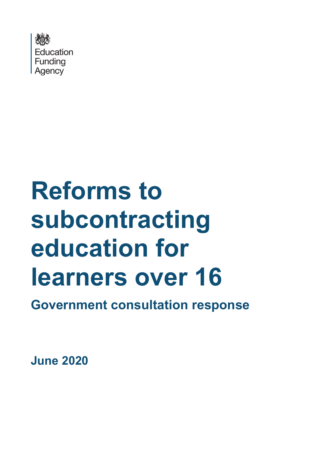

# **Reforms to subcontracting education for learners over 16**

**Government consultation response**

**June 2020**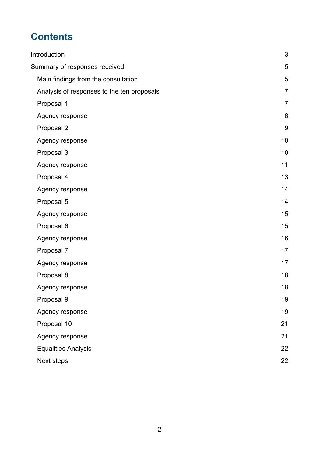# **Contents**

| Introduction                               | 3              |
|--------------------------------------------|----------------|
| Summary of responses received              | 5              |
| Main findings from the consultation        | 5              |
| Analysis of responses to the ten proposals | $\overline{7}$ |
| Proposal 1                                 | $\overline{7}$ |
| Agency response                            | 8              |
| Proposal 2                                 | 9              |
| Agency response                            | 10             |
| Proposal 3                                 | 10             |
| Agency response                            | 11             |
| Proposal 4                                 | 13             |
| Agency response                            | 14             |
| Proposal 5                                 | 14             |
| Agency response                            | 15             |
| Proposal 6                                 | 15             |
| Agency response                            | 16             |
| Proposal 7                                 | 17             |
| Agency response                            | 17             |
| Proposal 8                                 | 18             |
| Agency response                            | 18             |
| Proposal 9                                 | 19             |
| Agency response                            | 19             |
| Proposal 10                                | 21             |
| Agency response                            | 21             |
| <b>Equalities Analysis</b>                 | 22             |
| Next steps                                 | 22             |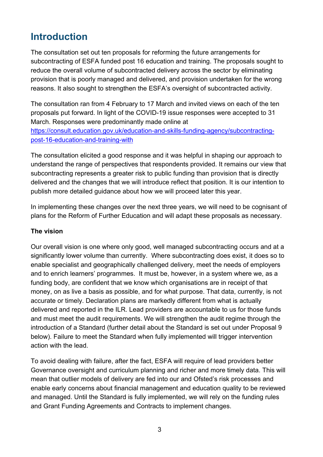# <span id="page-2-0"></span>**Introduction**

The consultation set out ten proposals for reforming the future arrangements for subcontracting of ESFA funded post 16 education and training. The proposals sought to reduce the overall volume of subcontracted delivery across the sector by eliminating provision that is poorly managed and delivered, and provision undertaken for the wrong reasons. It also sought to strengthen the ESFA's oversight of subcontracted activity.

The consultation ran from 4 February to 17 March and invited views on each of the ten proposals put forward. In light of the COVID-19 issue responses were accepted to 31 March. Responses were predominantly made online at [https://consult.education.gov.uk/education-and-skills-funding-agency/subcontracting](https://consult.education.gov.uk/education-and-skills-funding-agency/subcontracting-post-16-education-and-training-with)[post-16-education-and-training-with](https://consult.education.gov.uk/education-and-skills-funding-agency/subcontracting-post-16-education-and-training-with)

The consultation elicited a good response and it was helpful in shaping our approach to understand the range of perspectives that respondents provided. It remains our view that subcontracting represents a greater risk to public funding than provision that is directly delivered and the changes that we will introduce reflect that position. It is our intention to publish more detailed guidance about how we will proceed later this year.

In implementing these changes over the next three years, we will need to be cognisant of plans for the Reform of Further Education and will adapt these proposals as necessary.

#### **The vision**

Our overall vision is one where only good, well managed subcontracting occurs and at a significantly lower volume than currently. Where subcontracting does exist, it does so to enable specialist and geographically challenged delivery, meet the needs of employers and to enrich learners' programmes. It must be, however, in a system where we, as a funding body, are confident that we know which organisations are in receipt of that money, on as live a basis as possible, and for what purpose. That data, currently, is not accurate or timely. Declaration plans are markedly different from what is actually delivered and reported in the ILR. Lead providers are accountable to us for those funds and must meet the audit requirements. We will strengthen the audit regime through the introduction of a Standard (further detail about the Standard is set out under Proposal 9 below). Failure to meet the Standard when fully implemented will trigger intervention action with the lead.

To avoid dealing with failure, after the fact, ESFA will require of lead providers better Governance oversight and curriculum planning and richer and more timely data. This will mean that outlier models of delivery are fed into our and Ofsted's risk processes and enable early concerns about financial management and education quality to be reviewed and managed. Until the Standard is fully implemented, we will rely on the funding rules and Grant Funding Agreements and Contracts to implement changes.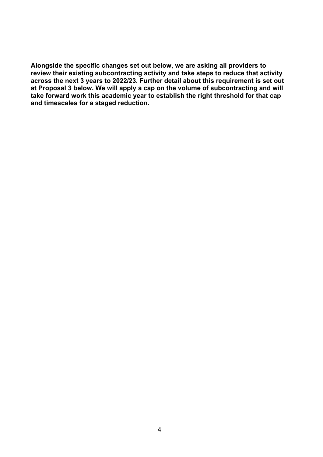**Alongside the specific changes set out below, we are asking all providers to review their existing subcontracting activity and take steps to reduce that activity across the next 3 years to 2022/23. Further detail about this requirement is set out at Proposal 3 below. We will apply a cap on the volume of subcontracting and will take forward work this academic year to establish the right threshold for that cap and timescales for a staged reduction.**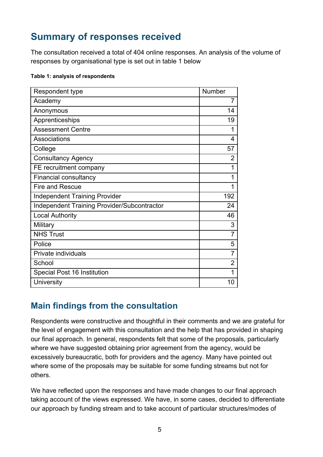# <span id="page-4-0"></span>**Summary of responses received**

The consultation received a total of 404 online responses. An analysis of the volume of responses by organisational type is set out in table 1 below

#### **Table 1: analysis of respondents**

| Respondent type                             | Number         |
|---------------------------------------------|----------------|
| Academy                                     | $\overline{7}$ |
| Anonymous                                   | 14             |
| Apprenticeships                             | 19             |
| <b>Assessment Centre</b>                    | 1              |
| Associations                                | 4              |
| College                                     | 57             |
| <b>Consultancy Agency</b>                   | $\overline{2}$ |
| FE recruitment company                      | 1              |
| <b>Financial consultancy</b>                | 1              |
| <b>Fire and Rescue</b>                      | 1              |
| <b>Independent Training Provider</b>        | 192            |
| Independent Training Provider/Subcontractor | 24             |
| <b>Local Authority</b>                      | 46             |
| Military                                    | 3              |
| <b>NHS Trust</b>                            | $\overline{7}$ |
| Police                                      | 5              |
| Private individuals                         | $\overline{7}$ |
| School                                      | $\overline{2}$ |
| Special Post 16 Institution                 |                |
| University                                  | 10             |

#### <span id="page-4-1"></span>**Main findings from the consultation**

Respondents were constructive and thoughtful in their comments and we are grateful for the level of engagement with this consultation and the help that has provided in shaping our final approach. In general, respondents felt that some of the proposals, particularly where we have suggested obtaining prior agreement from the agency, would be excessively bureaucratic, both for providers and the agency. Many have pointed out where some of the proposals may be suitable for some funding streams but not for others.

We have reflected upon the responses and have made changes to our final approach taking account of the views expressed. We have, in some cases, decided to differentiate our approach by funding stream and to take account of particular structures/modes of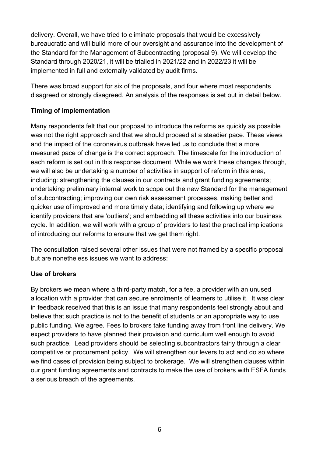delivery. Overall, we have tried to eliminate proposals that would be excessively bureaucratic and will build more of our oversight and assurance into the development of the Standard for the Management of Subcontracting (proposal 9). We will develop the Standard through 2020/21, it will be trialled in 2021/22 and in 2022/23 it will be implemented in full and externally validated by audit firms.

There was broad support for six of the proposals, and four where most respondents disagreed or strongly disagreed. An analysis of the responses is set out in detail below.

#### **Timing of implementation**

Many respondents felt that our proposal to introduce the reforms as quickly as possible was not the right approach and that we should proceed at a steadier pace. These views and the impact of the coronavirus outbreak have led us to conclude that a more measured pace of change is the correct approach. The timescale for the introduction of each reform is set out in this response document. While we work these changes through, we will also be undertaking a number of activities in support of reform in this area, including: strengthening the clauses in our contracts and grant funding agreements; undertaking preliminary internal work to scope out the new Standard for the management of subcontracting; improving our own risk assessment processes, making better and quicker use of improved and more timely data; identifying and following up where we identify providers that are 'outliers'; and embedding all these activities into our business cycle. In addition, we will work with a group of providers to test the practical implications of introducing our reforms to ensure that we get them right.

The consultation raised several other issues that were not framed by a specific proposal but are nonetheless issues we want to address:

#### **Use of brokers**

By brokers we mean where a third-party match, for a fee, a provider with an unused allocation with a provider that can secure enrolments of learners to utilise it. It was clear in feedback received that this is an issue that many respondents feel strongly about and believe that such practice is not to the benefit of students or an appropriate way to use public funding. We agree. Fees to brokers take funding away from front line delivery. We expect providers to have planned their provision and curriculum well enough to avoid such practice. Lead providers should be selecting subcontractors fairly through a clear competitive or procurement policy. We will strengthen our levers to act and do so where we find cases of provision being subject to brokerage. We will strengthen clauses within our grant funding agreements and contracts to make the use of brokers with ESFA funds a serious breach of the agreements.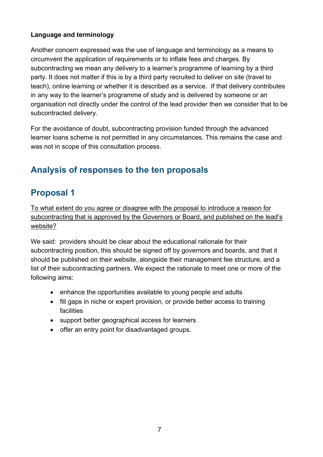#### **Language and terminology**

Another concern expressed was the use of language and terminology as a means to circumvent the application of requirements or to inflate fees and charges. By subcontracting we mean any delivery to a learner's programme of learning by a third party. It does not matter if this is by a third party recruited to deliver on site (travel to teach), online learning or whether it is described as a service. If that delivery contributes in any way to the learner's programme of study and is delivered by someone or an organisation not directly under the control of the lead provider then we consider that to be subcontracted delivery.

For the avoidance of doubt, subcontracting provision funded through the advanced learner loans scheme is not permitted in any circumstances. This remains the case and was not in scope of this consultation process.

# <span id="page-6-0"></span>**Analysis of responses to the ten proposals**

# <span id="page-6-1"></span>**Proposal 1**

To what extent do you agree or disagree with the proposal to introduce a reason for subcontracting that is approved by the Governors or Board, and published on the lead's website?

We said: providers should be clear about the educational rationale for their subcontracting position, this should be signed off by governors and boards, and that it should be published on their website, alongside their management fee structure, and a list of their subcontracting partners. We expect the rationale to meet one or more of the following aims:

- enhance the opportunities available to young people and adults
- fill gaps in niche or expert provision, or provide better access to training facilities
- support better geographical access for learners
- offer an entry point for disadvantaged groups.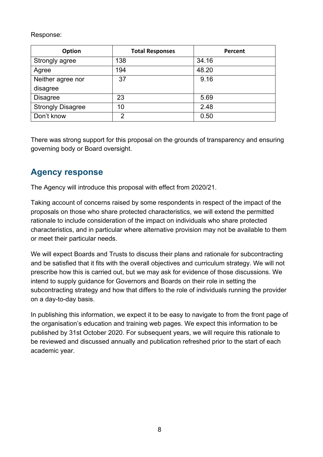Response:

| <b>Option</b>            | <b>Total Responses</b> | Percent |
|--------------------------|------------------------|---------|
| Strongly agree           | 138                    | 34.16   |
| Agree                    | 194                    | 48.20   |
| Neither agree nor        | 37                     | 9.16    |
| disagree                 |                        |         |
| <b>Disagree</b>          | 23                     | 5.69    |
| <b>Strongly Disagree</b> | 10                     | 2.48    |
| Don't know               | 2                      | 0.50    |

There was strong support for this proposal on the grounds of transparency and ensuring governing body or Board oversight.

## <span id="page-7-0"></span>**Agency response**

The Agency will introduce this proposal with effect from 2020/21.

Taking account of concerns raised by some respondents in respect of the impact of the proposals on those who share protected characteristics, we will extend the permitted rationale to include consideration of the impact on individuals who share protected characteristics, and in particular where alternative provision may not be available to them or meet their particular needs.

We will expect Boards and Trusts to discuss their plans and rationale for subcontracting and be satisfied that it fits with the overall objectives and curriculum strategy. We will not prescribe how this is carried out, but we may ask for evidence of those discussions. We intend to supply guidance for Governors and Boards on their role in setting the subcontracting strategy and how that differs to the role of individuals running the provider on a day-to-day basis.

In publishing this information, we expect it to be easy to navigate to from the front page of the organisation's education and training web pages. We expect this information to be published by 31st October 2020. For subsequent years, we will require this rationale to be reviewed and discussed annually and publication refreshed prior to the start of each academic year.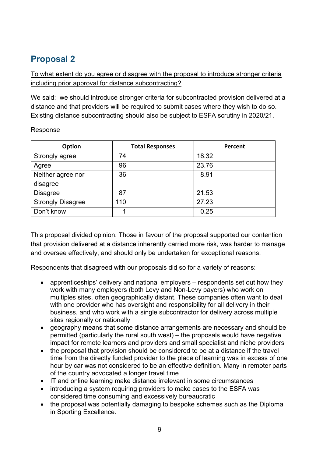<span id="page-8-0"></span>To what extent do you agree or disagree with the proposal to introduce stronger criteria including prior approval for distance subcontracting?

We said: we should introduce stronger criteria for subcontracted provision delivered at a distance and that providers will be required to submit cases where they wish to do so. Existing distance subcontracting should also be subject to ESFA scrutiny in 2020/21.

| Option                   | <b>Total Responses</b> | Percent |
|--------------------------|------------------------|---------|
| Strongly agree           | 74                     | 18.32   |
| Agree                    | 96                     | 23.76   |
| Neither agree nor        | 36                     | 8.91    |
| disagree                 |                        |         |
| <b>Disagree</b>          | 87                     | 21.53   |
| <b>Strongly Disagree</b> | 110                    | 27.23   |
| Don't know               |                        | 0.25    |

Response

This proposal divided opinion. Those in favour of the proposal supported our contention that provision delivered at a distance inherently carried more risk, was harder to manage and oversee effectively, and should only be undertaken for exceptional reasons.

Respondents that disagreed with our proposals did so for a variety of reasons:

- apprenticeships' delivery and national employers respondents set out how they work with many employers (both Levy and Non-Levy payers) who work on multiples sites, often geographically distant. These companies often want to deal with one provider who has oversight and responsibility for all delivery in their business, and who work with a single subcontractor for delivery across multiple sites regionally or nationally
- geography means that some distance arrangements are necessary and should be permitted (particularly the rural south west) – the proposals would have negative impact for remote learners and providers and small specialist and niche providers
- the proposal that provision should be considered to be at a distance if the travel time from the directly funded provider to the place of learning was in excess of one hour by car was not considered to be an effective definition. Many in remoter parts of the country advocated a longer travel time
- IT and online learning make distance irrelevant in some circumstances
- introducing a system requiring providers to make cases to the ESFA was considered time consuming and excessively bureaucratic
- the proposal was potentially damaging to bespoke schemes such as the Diploma in Sporting Excellence.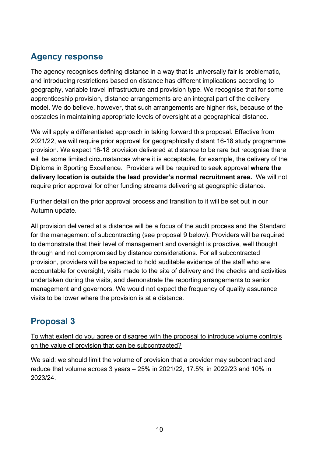# <span id="page-9-0"></span>**Agency response**

The agency recognises defining distance in a way that is universally fair is problematic, and introducing restrictions based on distance has different implications according to geography, variable travel infrastructure and provision type. We recognise that for some apprenticeship provision, distance arrangements are an integral part of the delivery model. We do believe, however, that such arrangements are higher risk, because of the obstacles in maintaining appropriate levels of oversight at a geographical distance.

We will apply a differentiated approach in taking forward this proposal. Effective from 2021/22, we will require prior approval for geographically distant 16-18 study programme provision. We expect 16-18 provision delivered at distance to be rare but recognise there will be some limited circumstances where it is acceptable, for example, the delivery of the Diploma in Sporting Excellence. Providers will be required to seek approval **where the delivery location is outside the lead provider's normal recruitment area.** We will not require prior approval for other funding streams delivering at geographic distance.

Further detail on the prior approval process and transition to it will be set out in our Autumn update.

All provision delivered at a distance will be a focus of the audit process and the Standard for the management of subcontracting (see proposal 9 below). Providers will be required to demonstrate that their level of management and oversight is proactive, well thought through and not compromised by distance considerations. For all subcontracted provision, providers will be expected to hold auditable evidence of the staff who are accountable for oversight, visits made to the site of delivery and the checks and activities undertaken during the visits, and demonstrate the reporting arrangements to senior management and governors. We would not expect the frequency of quality assurance visits to be lower where the provision is at a distance.

# <span id="page-9-1"></span>**Proposal 3**

To what extent do you agree or disagree with the proposal to introduce volume controls on the value of provision that can be subcontracted?

We said: we should limit the volume of provision that a provider may subcontract and reduce that volume across 3 years – 25% in 2021/22, 17.5% in 2022/23 and 10% in 2023/24.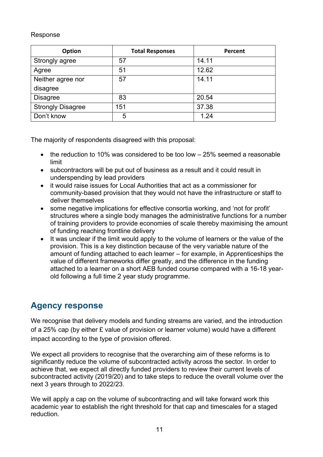#### Response

| <b>Option</b>            | <b>Total Responses</b> | Percent |
|--------------------------|------------------------|---------|
| Strongly agree           | 57                     | 14.11   |
| Agree                    | 51                     | 12.62   |
| Neither agree nor        | 57                     | 14.11   |
| disagree                 |                        |         |
| <b>Disagree</b>          | 83                     | 20.54   |
| <b>Strongly Disagree</b> | 151                    | 37.38   |
| Don't know               | 5                      | 1.24    |

The majority of respondents disagreed with this proposal:

- the reduction to 10% was considered to be too low 25% seemed a reasonable limit
- subcontractors will be put out of business as a result and it could result in underspending by lead providers
- it would raise issues for Local Authorities that act as a commissioner for community-based provision that they would not have the infrastructure or staff to deliver themselves
- some negative implications for effective consortia working, and 'not for profit' structures where a single body manages the administrative functions for a number of training providers to provide economies of scale thereby maximising the amount of funding reaching frontline delivery
- It was unclear if the limit would apply to the volume of learners or the value of the provision. This is a key distinction because of the very variable nature of the amount of funding attached to each learner – for example, in Apprenticeships the value of different frameworks differ greatly, and the difference in the funding attached to a learner on a short AEB funded course compared with a 16-18 yearold following a full time 2 year study programme.

## <span id="page-10-0"></span>**Agency response**

We recognise that delivery models and funding streams are varied, and the introduction of a 25% cap (by either £ value of provision or learner volume) would have a different impact according to the type of provision offered.

We expect all providers to recognise that the overarching aim of these reforms is to significantly reduce the volume of subcontracted activity across the sector. In order to achieve that, we expect all directly funded providers to review their current levels of subcontracted activity (2019/20) and to take steps to reduce the overall volume over the next 3 years through to 2022/23.

We will apply a cap on the volume of subcontracting and will take forward work this academic year to establish the right threshold for that cap and timescales for a staged reduction.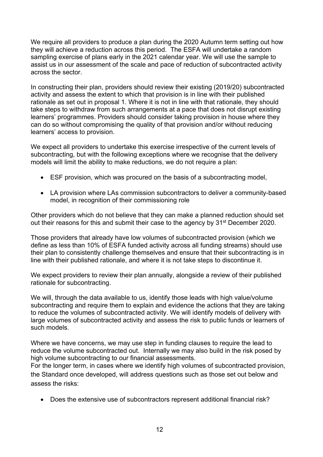We require all providers to produce a plan during the 2020 Autumn term setting out how they will achieve a reduction across this period. The ESFA will undertake a random sampling exercise of plans early in the 2021 calendar year. We will use the sample to assist us in our assessment of the scale and pace of reduction of subcontracted activity across the sector.

In constructing their plan, providers should review their existing (2019/20) subcontracted activity and assess the extent to which that provision is in line with their published rationale as set out in proposal 1. Where it is not in line with that rationale, they should take steps to withdraw from such arrangements at a pace that does not disrupt existing learners' programmes. Providers should consider taking provision in house where they can do so without compromising the quality of that provision and/or without reducing learners' access to provision.

We expect all providers to undertake this exercise irrespective of the current levels of subcontracting, but with the following exceptions where we recognise that the delivery models will limit the ability to make reductions, we do not require a plan:

- ESF provision, which was procured on the basis of a subcontracting model,
- LA provision where LAs commission subcontractors to deliver a community-based model, in recognition of their commissioning role

Other providers which do not believe that they can make a planned reduction should set out their reasons for this and submit their case to the agency by 31<sup>st</sup> December 2020.

Those providers that already have low volumes of subcontracted provision (which we define as less than 10% of ESFA funded activity across all funding streams) should use their plan to consistently challenge themselves and ensure that their subcontracting is in line with their published rationale, and where it is not take steps to discontinue it.

We expect providers to review their plan annually, alongside a review of their published rationale for subcontracting.

We will, through the data available to us, identify those leads with high value/volume subcontracting and require them to explain and evidence the actions that they are taking to reduce the volumes of subcontracted activity. We will identify models of delivery with large volumes of subcontracted activity and assess the risk to public funds or learners of such models.

Where we have concerns, we may use step in funding clauses to require the lead to reduce the volume subcontracted out. Internally we may also build in the risk posed by high volume subcontracting to our financial assessments.

For the longer term, in cases where we identify high volumes of subcontracted provision, the Standard once developed, will address questions such as those set out below and assess the risks:

• Does the extensive use of subcontractors represent additional financial risk?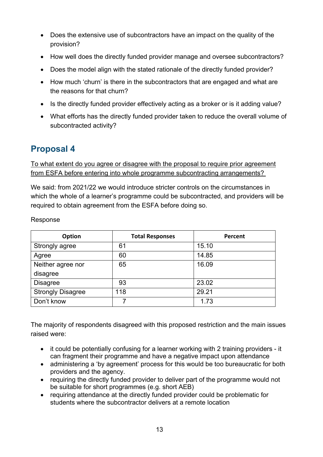- Does the extensive use of subcontractors have an impact on the quality of the provision?
- How well does the directly funded provider manage and oversee subcontractors?
- Does the model align with the stated rationale of the directly funded provider?
- How much 'churn' is there in the subcontractors that are engaged and what are the reasons for that churn?
- Is the directly funded provider effectively acting as a broker or is it adding value?
- <span id="page-12-0"></span>• What efforts has the directly funded provider taken to reduce the overall volume of subcontracted activity?

To what extent do you agree or disagree with the proposal to require prior agreement from ESFA before entering into whole programme subcontracting arrangements?

We said: from 2021/22 we would introduce stricter controls on the circumstances in which the whole of a learner's programme could be subcontracted, and providers will be required to obtain agreement from the ESFA before doing so.

#### Response

| Option                   | <b>Total Responses</b> | Percent |
|--------------------------|------------------------|---------|
| Strongly agree           | 61                     | 15.10   |
| Agree                    | 60                     | 14.85   |
| Neither agree nor        | 65                     | 16.09   |
| disagree                 |                        |         |
| <b>Disagree</b>          | 93                     | 23.02   |
| <b>Strongly Disagree</b> | 118                    | 29.21   |
| Don't know               | 7                      | 1.73    |

The majority of respondents disagreed with this proposed restriction and the main issues raised were:

- it could be potentially confusing for a learner working with 2 training providers it can fragment their programme and have a negative impact upon attendance
- administering a 'by agreement' process for this would be too bureaucratic for both providers and the agency.
- requiring the directly funded provider to deliver part of the programme would not be suitable for short programmes (e.g. short AEB)
- requiring attendance at the directly funded provider could be problematic for students where the subcontractor delivers at a remote location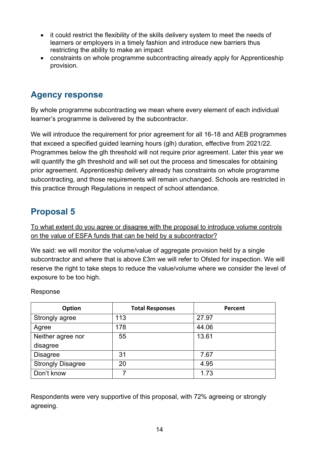- it could restrict the flexibility of the skills delivery system to meet the needs of learners or employers in a timely fashion and introduce new barriers thus restricting the ability to make an impact
- constraints on whole programme subcontracting already apply for Apprenticeship provision.

### <span id="page-13-0"></span>**Agency response**

By whole programme subcontracting we mean where every element of each individual learner's programme is delivered by the subcontractor.

We will introduce the requirement for prior agreement for all 16-18 and AEB programmes that exceed a specified guided learning hours (glh) duration, effective from 2021/22. Programmes below the glh threshold will not require prior agreement. Later this year we will quantify the glh threshold and will set out the process and timescales for obtaining prior agreement. Apprenticeship delivery already has constraints on whole programme subcontracting, and those requirements will remain unchanged. Schools are restricted in this practice through Regulations in respect of school attendance.

## <span id="page-13-1"></span>**Proposal 5**

To what extent do you agree or disagree with the proposal to introduce volume controls on the value of ESFA funds that can be held by a subcontractor?

We said: we will monitor the volume/value of aggregate provision held by a single subcontractor and where that is above £3m we will refer to Ofsted for inspection. We will reserve the right to take steps to reduce the value/volume where we consider the level of exposure to be too high.

Response

| Option                   | <b>Total Responses</b> | Percent |
|--------------------------|------------------------|---------|
| Strongly agree           | 113                    | 27.97   |
| Agree                    | 178                    | 44.06   |
| Neither agree nor        | 55                     | 13.61   |
| disagree                 |                        |         |
| <b>Disagree</b>          | 31                     | 7.67    |
| <b>Strongly Disagree</b> | 20                     | 4.95    |
| Don't know               |                        | 1.73    |

Respondents were very supportive of this proposal, with 72% agreeing or strongly agreeing.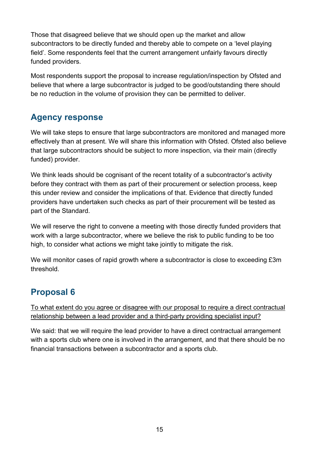Those that disagreed believe that we should open up the market and allow subcontractors to be directly funded and thereby able to compete on a 'level playing field'. Some respondents feel that the current arrangement unfairly favours directly funded providers.

Most respondents support the proposal to increase regulation/inspection by Ofsted and believe that where a large subcontractor is judged to be good/outstanding there should be no reduction in the volume of provision they can be permitted to deliver.

#### <span id="page-14-0"></span>**Agency response**

We will take steps to ensure that large subcontractors are monitored and managed more effectively than at present. We will share this information with Ofsted. Ofsted also believe that large subcontractors should be subject to more inspection, via their main (directly funded) provider.

We think leads should be cognisant of the recent totality of a subcontractor's activity before they contract with them as part of their procurement or selection process, keep this under review and consider the implications of that. Evidence that directly funded providers have undertaken such checks as part of their procurement will be tested as part of the Standard.

We will reserve the right to convene a meeting with those directly funded providers that work with a large subcontractor, where we believe the risk to public funding to be too high, to consider what actions we might take jointly to mitigate the risk.

We will monitor cases of rapid growth where a subcontractor is close to exceeding £3m threshold.

# <span id="page-14-1"></span>**Proposal 6**

To what extent do you agree or disagree with our proposal to require a direct contractual relationship between a lead provider and a third-party providing specialist input?

We said: that we will require the lead provider to have a direct contractual arrangement with a sports club where one is involved in the arrangement, and that there should be no financial transactions between a subcontractor and a sports club.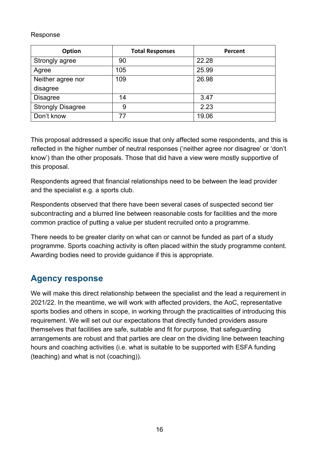#### Response

| Option                   | <b>Total Responses</b> | Percent |
|--------------------------|------------------------|---------|
| Strongly agree           | 90                     | 22.28   |
| Agree                    | 105                    | 25.99   |
| Neither agree nor        | 109                    | 26.98   |
| disagree                 |                        |         |
| <b>Disagree</b>          | 14                     | 3.47    |
| <b>Strongly Disagree</b> | 9                      | 2.23    |
| Don't know               | 77                     | 19.06   |

This proposal addressed a specific issue that only affected some respondents, and this is reflected in the higher number of neutral responses ('neither agree nor disagree' or 'don't know') than the other proposals. Those that did have a view were mostly supportive of this proposal.

Respondents agreed that financial relationships need to be between the lead provider and the specialist e.g. a sports club.

Respondents observed that there have been several cases of suspected second tier subcontracting and a blurred line between reasonable costs for facilities and the more common practice of putting a value per student recruited onto a programme.

There needs to be greater clarity on what can or cannot be funded as part of a study programme. Sports coaching activity is often placed within the study programme content. Awarding bodies need to provide guidance if this is appropriate.

#### <span id="page-15-0"></span>**Agency response**

We will make this direct relationship between the specialist and the lead a requirement in 2021/22. In the meantime, we will work with affected providers, the AoC, representative sports bodies and others in scope, in working through the practicalities of introducing this requirement. We will set out our expectations that directly funded providers assure themselves that facilities are safe, suitable and fit for purpose, that safeguarding arrangements are robust and that parties are clear on the dividing line between teaching hours and coaching activities (i.e. what is suitable to be supported with ESFA funding (teaching) and what is not (coaching)).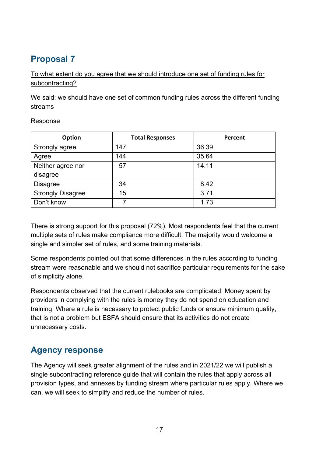<span id="page-16-0"></span>To what extent do you agree that we should introduce one set of funding rules for subcontracting?

We said: we should have one set of common funding rules across the different funding streams

Response

| <b>Option</b>            | <b>Total Responses</b> | Percent |
|--------------------------|------------------------|---------|
| Strongly agree           | 147                    | 36.39   |
| Agree                    | 144                    | 35.64   |
| Neither agree nor        | 57                     | 14.11   |
| disagree                 |                        |         |
| <b>Disagree</b>          | 34                     | 8.42    |
| <b>Strongly Disagree</b> | 15                     | 3.71    |
| Don't know               | 7                      | 1.73    |

There is strong support for this proposal (72%). Most respondents feel that the current multiple sets of rules make compliance more difficult. The majority would welcome a single and simpler set of rules, and some training materials.

Some respondents pointed out that some differences in the rules according to funding stream were reasonable and we should not sacrifice particular requirements for the sake of simplicity alone.

Respondents observed that the current rulebooks are complicated. Money spent by providers in complying with the rules is money they do not spend on education and training. Where a rule is necessary to protect public funds or ensure minimum quality, that is not a problem but ESFA should ensure that its activities do not create unnecessary costs.

## <span id="page-16-1"></span>**Agency response**

The Agency will seek greater alignment of the rules and in 2021/22 we will publish a single subcontracting reference guide that will contain the rules that apply across all provision types, and annexes by funding stream where particular rules apply. Where we can, we will seek to simplify and reduce the number of rules.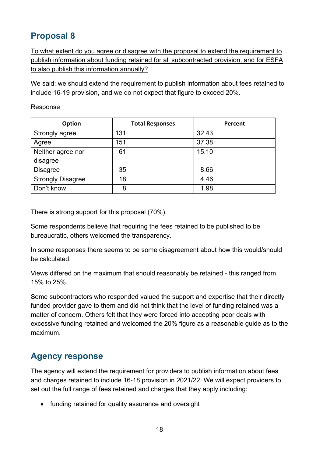<span id="page-17-0"></span>To what extent do you agree or disagree with the proposal to extend the requirement to publish information about funding retained for all subcontracted provision, and for ESFA to also publish this information annually?

We said: we should extend the requirement to publish information about fees retained to include 16-19 provision, and we do not expect that figure to exceed 20%.

Response

| <b>Option</b>            | <b>Total Responses</b> | Percent |
|--------------------------|------------------------|---------|
| Strongly agree           | 131                    | 32.43   |
| Agree                    | 151                    | 37.38   |
| Neither agree nor        | 61                     | 15.10   |
| disagree                 |                        |         |
| <b>Disagree</b>          | 35                     | 8.66    |
| <b>Strongly Disagree</b> | 18                     | 4.46    |
| Don't know               | 8                      | 1.98    |

There is strong support for this proposal (70%).

Some respondents believe that requiring the fees retained to be published to be bureaucratic, others welcomed the transparency.

In some responses there seems to be some disagreement about how this would/should be calculated.

Views differed on the maximum that should reasonably be retained - this ranged from 15% to 25%.

Some subcontractors who responded valued the support and expertise that their directly funded provider gave to them and did not think that the level of funding retained was a matter of concern. Others felt that they were forced into accepting poor deals with excessive funding retained and welcomed the 20% figure as a reasonable guide as to the maximum.

#### <span id="page-17-1"></span>**Agency response**

The agency will extend the requirement for providers to publish information about fees and charges retained to include 16-18 provision in 2021/22. We will expect providers to set out the full range of fees retained and charges that they apply including:

• funding retained for quality assurance and oversight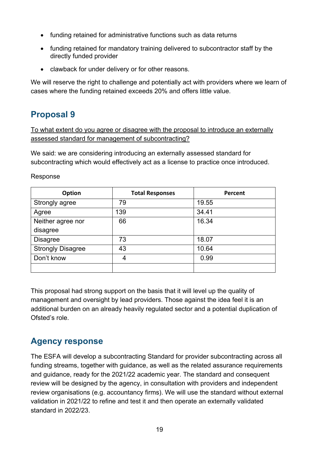- funding retained for administrative functions such as data returns
- funding retained for mandatory training delivered to subcontractor staff by the directly funded provider
- clawback for under delivery or for other reasons.

We will reserve the right to challenge and potentially act with providers where we learn of cases where the funding retained exceeds 20% and offers little value.

## <span id="page-18-0"></span>**Proposal 9**

To what extent do you agree or disagree with the proposal to introduce an externally assessed standard for management of subcontracting?

We said: we are considering introducing an externally assessed standard for subcontracting which would effectively act as a license to practice once introduced.

| Option                   | <b>Total Responses</b> | Percent |
|--------------------------|------------------------|---------|
| Strongly agree           | 79                     | 19.55   |
| Agree                    | 139                    | 34.41   |
| Neither agree nor        | 66                     | 16.34   |
| disagree                 |                        |         |
| <b>Disagree</b>          | 73                     | 18.07   |
| <b>Strongly Disagree</b> | 43                     | 10.64   |
| Don't know               | 4                      | 0.99    |
|                          |                        |         |

This proposal had strong support on the basis that it will level up the quality of management and oversight by lead providers. Those against the idea feel it is an additional burden on an already heavily regulated sector and a potential duplication of Ofsted's role.

#### <span id="page-18-1"></span>**Agency response**

The ESFA will develop a subcontracting Standard for provider subcontracting across all funding streams, together with guidance, as well as the related assurance requirements and guidance, ready for the 2021/22 academic year. The standard and consequent review will be designed by the agency, in consultation with providers and independent review organisations (e.g. accountancy firms). We will use the standard without external validation in 2021/22 to refine and test it and then operate an externally validated standard in 2022/23.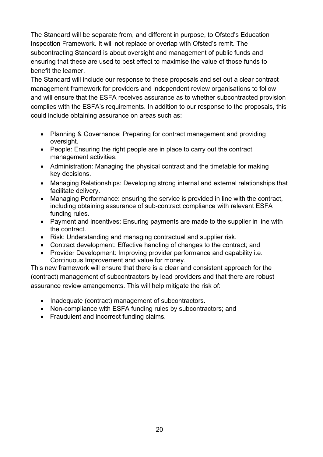The Standard will be separate from, and different in purpose, to Ofsted's Education Inspection Framework. It will not replace or overlap with Ofsted's remit. The subcontracting Standard is about oversight and management of public funds and ensuring that these are used to best effect to maximise the value of those funds to benefit the learner.

The Standard will include our response to these proposals and set out a clear contract management framework for providers and independent review organisations to follow and will ensure that the ESFA receives assurance as to whether subcontracted provision complies with the ESFA's requirements. In addition to our response to the proposals, this could include obtaining assurance on areas such as:

- Planning & Governance: Preparing for contract management and providing oversight.
- People: Ensuring the right people are in place to carry out the contract management activities.
- Administration: Managing the physical contract and the timetable for making key decisions.
- Managing Relationships: Developing strong internal and external relationships that facilitate delivery.
- Managing Performance: ensuring the service is provided in line with the contract, including obtaining assurance of sub-contract compliance with relevant ESFA funding rules.
- Payment and incentives: Ensuring payments are made to the supplier in line with the contract.
- Risk: Understanding and managing contractual and supplier risk.
- Contract development: Effective handling of changes to the contract; and
- Provider Development: Improving provider performance and capability i.e. Continuous Improvement and value for money.

This new framework will ensure that there is a clear and consistent approach for the (contract) management of subcontractors by lead providers and that there are robust assurance review arrangements. This will help mitigate the risk of:

- Inadequate (contract) management of subcontractors.
- Non-compliance with ESFA funding rules by subcontractors; and
- Fraudulent and incorrect funding claims.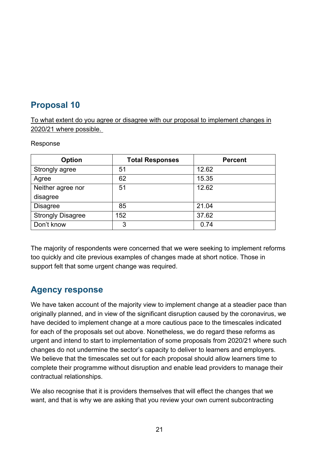<span id="page-20-0"></span>To what extent do you agree or disagree with our proposal to implement changes in 2020/21 where possible.

#### Response

| <b>Option</b>            | <b>Total Responses</b> | <b>Percent</b> |
|--------------------------|------------------------|----------------|
| Strongly agree           | 51                     | 12.62          |
| Agree                    | 62                     | 15.35          |
| Neither agree nor        | 51                     | 12.62          |
| disagree                 |                        |                |
| <b>Disagree</b>          | 85                     | 21.04          |
| <b>Strongly Disagree</b> | 152                    | 37.62          |
| Don't know               | 3                      | 0.74           |

The majority of respondents were concerned that we were seeking to implement reforms too quickly and cite previous examples of changes made at short notice. Those in support felt that some urgent change was required.

#### <span id="page-20-1"></span>**Agency response**

We have taken account of the majority view to implement change at a steadier pace than originally planned, and in view of the significant disruption caused by the coronavirus, we have decided to implement change at a more cautious pace to the timescales indicated for each of the proposals set out above. Nonetheless, we do regard these reforms as urgent and intend to start to implementation of some proposals from 2020/21 where such changes do not undermine the sector's capacity to deliver to learners and employers. We believe that the timescales set out for each proposal should allow learners time to complete their programme without disruption and enable lead providers to manage their contractual relationships.

We also recognise that it is providers themselves that will effect the changes that we want, and that is why we are asking that you review your own current subcontracting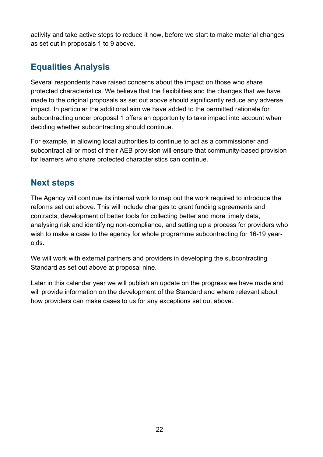activity and take active steps to reduce it now, before we start to make material changes as set out in proposals 1 to 9 above.

# <span id="page-21-0"></span>**Equalities Analysis**

Several respondents have raised concerns about the impact on those who share protected characteristics. We believe that the flexibilities and the changes that we have made to the original proposals as set out above should significantly reduce any adverse impact. In particular the additional aim we have added to the permitted rationale for subcontracting under proposal 1 offers an opportunity to take impact into account when deciding whether subcontracting should continue.

For example, in allowing local authorities to continue to act as a commissioner and subcontract all or most of their AEB provision will ensure that community-based provision for learners who share protected characteristics can continue.

## <span id="page-21-1"></span>**Next steps**

The Agency will continue its internal work to map out the work required to introduce the reforms set out above. This will include changes to grant funding agreements and contracts, development of better tools for collecting better and more timely data, analysing risk and identifying non-compliance, and setting up a process for providers who wish to make a case to the agency for whole programme subcontracting for 16-19 yearolds.

We will work with external partners and providers in developing the subcontracting Standard as set out above at proposal nine.

Later in this calendar year we will publish an update on the progress we have made and will provide information on the development of the Standard and where relevant about how providers can make cases to us for any exceptions set out above.